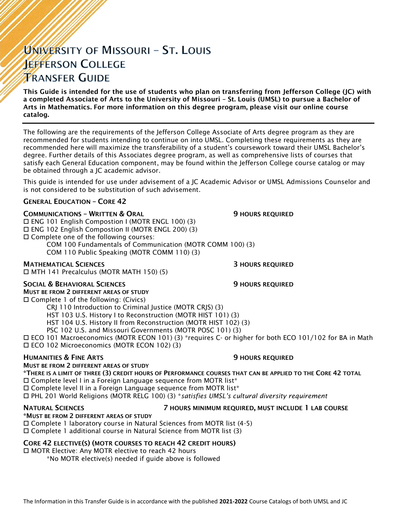# UNIVERSITY OF MISSOURI - ST. LOUIS **JEFFERSON COLLEGE TRANSFER GUIDE**

This Guide is intended for the use of students who plan on transferring from Jefferson College (JC) with a completed Associate of Arts to the University of Missouri – St. Louis (UMSL) to pursue a Bachelor of Arts in Mathematics. For more information on this degree program, please visit our online course catalog.

The following are the requirements of the Jefferson College Associate of Arts degree program as they are recommended for students intending to continue on into UMSL. Completing these requirements as they are recommended here will maximize the transferability of a student's coursework toward their UMSL Bachelor's degree. Further details of this Associates degree program, as well as comprehensive lists of courses that satisfy each General Education component, may be found within the Jefferson College course catalog or may be obtained through a JC academic advisor.

This guide is intended for use under advisement of a JC Academic Advisor or UMSL Admissions Counselor and is not considered to be substitution of such advisement.

### GENERAL EDUCATION – CORE 42

### **COMMUNICATIONS - WRITTEN & ORAL 5 AU SERVICE SECULAR SECULAR SECULAR SERVICED**

 ENG 101 English Compostion I (MOTR ENGL 100) (3) ENG 102 English Compostion II (MOTR ENGL 200) (3) Complete one of the following courses: COM 100 Fundamentals of Communication (MOTR COMM 100) (3)

COM 110 Public Speaking (MOTR COMM 110) (3)

### **MATHEMATICAL SCIENCES 3 HOURS REQUIRED**

MTH 141 Precalculus (MOTR MATH 150) (5)

#### SOCIAL & BEHAVIORAL SCIENCES **19 SOCIAL SERVICES** 9 HOURS REQUIRED

MUST BE FROM 2 DIFFERENT AREAS OF STUDY  $\square$  Complete 1 of the following: (Civics)

CRJ 110 Introduction to Criminal Justice (MOTR CRJS) (3)

HST 103 U.S. History I to Reconstruction (MOTR HIST 101) (3)

HST 104 U.S. History II from Reconstruction (MOTR HIST 102) (3)

PSC 102 U.S. and Missouri Governments (MOTR POSC 101) (3)

 ECO 101 Macroeconomics (MOTR ECON 101) (3) \*requires C- or higher for both ECO 101/102 for BA in Math ECO 102 Microeconomics (MOTR ECON 102) (3)

### **HUMANITIES & FINE ARTS 19 ACCESS 20 HOURS REQUIRED**

#### MUST BE FROM 2 DIFFERENT AREAS OF STUDY

\*THERE IS A LIMIT OF THREE (3) CREDIT HOURS OF PERFORMANCE COURSES THAT CAN BE APPLIED TO THE CORE 42 TOTAL Complete level I in a Foreign Language sequence from MOTR list\*

 $\square$  Complete level II in a Foreign Language sequence from MOTR list\*

PHL 201 World Religions (MOTR RELG 100) (3) \**satisfies UMSL's cultural diversity requirement*

# \*MUST BE FROM 2 DIFFERENT AREAS OF STUDY

## NATURAL SCIENCES 7 HOURS MINIMUM REQUIRED, MUST INCLUDE 1 LAB COURSE

Complete 1 laboratory course in Natural Sciences from MOTR list (4-5)

# Complete 1 additional course in Natural Science from MOTR list (3)

### CORE 42 ELECTIVE(S) (MOTR COURSES TO REACH 42 CREDIT HOURS)

□ MOTR Elective: Any MOTR elective to reach 42 hours

\*No MOTR elective(s) needed if guide above is followed